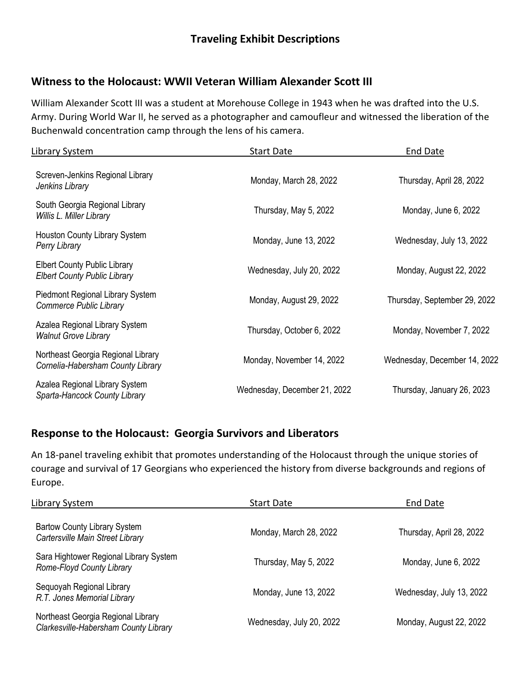## **Witness to the Holocaust: WWII Veteran William Alexander Scott III**

William Alexander Scott III was a student at Morehouse College in 1943 when he was drafted into the U.S. Army. During World War II, he served as a photographer and camoufleur and witnessed the liberation of the Buchenwald concentration camp through the lens of his camera.

| Library System                                                             | <b>Start Date</b>            | End Date                     |
|----------------------------------------------------------------------------|------------------------------|------------------------------|
| Screven-Jenkins Regional Library<br>Jenkins Library                        | Monday, March 28, 2022       | Thursday, April 28, 2022     |
| South Georgia Regional Library<br>Willis L. Miller Library                 | Thursday, May 5, 2022        | Monday, June 6, 2022         |
| Houston County Library System<br>Perry Library                             | Monday, June 13, 2022        | Wednesday, July 13, 2022     |
| <b>Elbert County Public Library</b><br><b>Elbert County Public Library</b> | Wednesday, July 20, 2022     | Monday, August 22, 2022      |
| Piedmont Regional Library System<br>Commerce Public Library                | Monday, August 29, 2022      | Thursday, September 29, 2022 |
| Azalea Regional Library System<br><b>Walnut Grove Library</b>              | Thursday, October 6, 2022    | Monday, November 7, 2022     |
| Northeast Georgia Regional Library<br>Cornelia-Habersham County Library    | Monday, November 14, 2022    | Wednesday, December 14, 2022 |
| Azalea Regional Library System<br>Sparta-Hancock County Library            | Wednesday, December 21, 2022 | Thursday, January 26, 2023   |

## **Response to the Holocaust: Georgia Survivors and Liberators**

An 18-panel traveling exhibit that promotes understanding of the Holocaust through the unique stories of courage and survival of 17 Georgians who experienced the history from diverse backgrounds and regions of Europe.

| Library System                                                              | <b>Start Date</b>        | End Date                 |
|-----------------------------------------------------------------------------|--------------------------|--------------------------|
| <b>Bartow County Library System</b><br>Cartersville Main Street Library     | Monday, March 28, 2022   | Thursday, April 28, 2022 |
| Sara Hightower Regional Library System<br>Rome-Floyd County Library         | Thursday, May 5, 2022    | Monday, June 6, 2022     |
| Sequoyah Regional Library<br>R.T. Jones Memorial Library                    | Monday, June 13, 2022    | Wednesday, July 13, 2022 |
| Northeast Georgia Regional Library<br>Clarkesville-Habersham County Library | Wednesday, July 20, 2022 | Monday, August 22, 2022  |